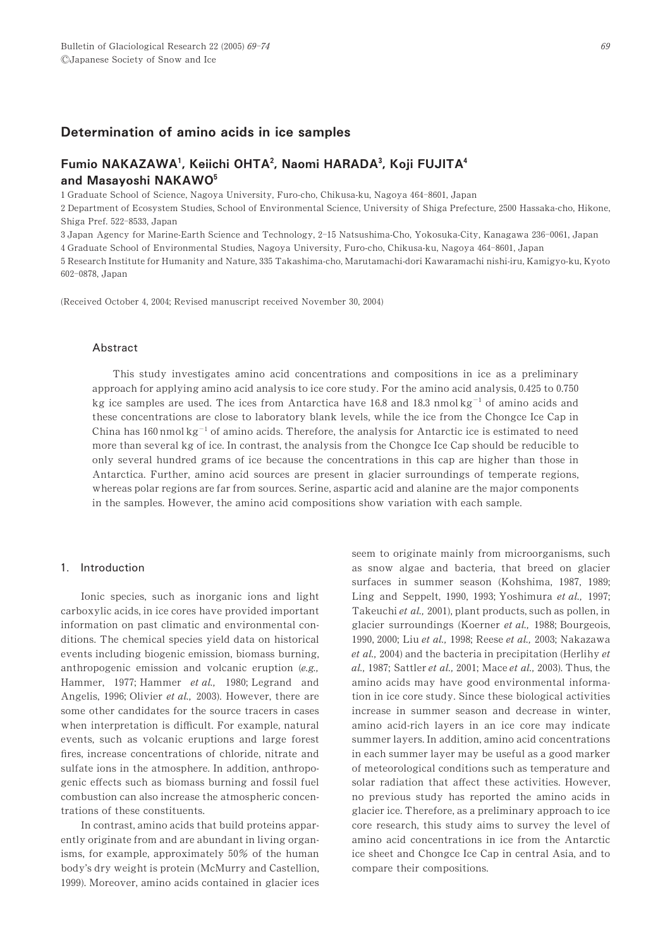# Determination of amino acids in ice samples

# Fumio NAKAZAWA<sup>1</sup>, Keiichi OHTA<sup>2</sup>, Naomi HARADA<sup>3</sup>, Koji FUJITA<sup>4</sup> and Masayoshi NAKAWO<sup>5</sup>

1 Graduate School of Science, Nagoya University, Furo-cho, Chikusa-ku, Nagoya 464-8601, Japan

2 Department of Ecosystem Studies, School of Environmental Science, University of Shiga Prefecture, 2500 Hassaka-cho, Hikone, Shiga Pref. 522-8533, Japan

3 Japan Agency for Marine-Earth Science and Technology, 2-15 Natsushima-Cho, Yokosuka-City, Kanagawa 236-0061, Japan

4 Graduate School of Environmental Studies, Nagoya University, Furo-cho, Chikusa-ku, Nagoya 464-8601, Japan

5 Research Institute for Humanity and Nature, 335 Takashima-cho, Marutamachi-dori Kawaramachi nishi-iru, Kamigyo-ku, Kyoto 602-0878, Japan

(Received October 4, 2004; Revised manuscript received November 30, 2004)

#### Abstract

This study investigates amino acid concentrations and compositions in ice as a preliminary approach for applying amino acid analysis to ice core study. For the amino acid analysis, 0.425 to 0.750 kg ice samples are used. The ices from Antarctica have 16.8 and 18.3 nmol kg<sup>-1</sup> of amino acids and these concentrations are close to laboratory blank levels, while the ice from the Chongce Ice Cap in China has  $160$  nmol kg<sup>-1</sup> of amino acids. Therefore, the analysis for Antarctic ice is estimated to need more than several kg of ice. In contrast, the analysis from the Chongce Ice Cap should be reducible to only several hundred grams of ice because the concentrations in this cap are higher than those in Antarctica. Further, amino acid sources are present in glacier surroundings of temperate regions, whereas polar regions are far from sources. Serine, aspartic acid and alanine are the major components in the samples. However, the amino acid compositions show variation with each sample.

# 1. Introduction

Ionic species, such as inorganic ions and light carboxylic acids, in ice cores have provided important information on past climatic and environmental conditions. The chemical species yield data on historical events including biogenic emission, biomass burning, anthropogenic emission and volcanic eruption (e.g., Hammer, 1977; Hammer et al., 1980; Legrand and Angelis, 1996; Olivier et al., 2003). However, there are some other candidates for the source tracers in cases when interpretation is difficult. For example, natural events, such as volcanic eruptions and large forest fires, increase concentrations of chloride, nitrate and sulfate ions in the atmosphere. In addition, anthropogenic effects such as biomass burning and fossil fuel combustion can also increase the atmospheric concentrations of these constituents.

In contrast, amino acids that build proteins apparently originate from and are abundant in living organisms, for example, approximately  $50\%$  of the human body's dry weight is protein (McMurry and Castellion, 1999). Moreover, amino acids contained in glacier ices

seem to originate mainly from microorganisms, such as snow algae and bacteria, that breed on glacier surfaces in summer season (Kohshima, 1987, 1989; Ling and Seppelt, 1990, 1993; Yoshimura et al., 1997; Takeuchi et al., 2001), plant products, such as pollen, in glacier surroundings (Koerner  $et$   $al$ ., 1988; Bourgeois, 1990, 2000; Liu et al., 1998; Reese et al., 2003; Nakazawa  $et al., 2004$ ) and the bacteria in precipitation (Herlihy  $et$ al., 1987; Sattler et al., 2001; Mace et al., 2003). Thus, the amino acids may have good environmental information in ice core study. Since these biological activities increase in summer season and decrease in winter, amino acid-rich layers in an ice core may indicate summer layers. In addition, amino acid concentrations in each summer layer may be useful as a good marker of meteorological conditions such as temperature and solar radiation that affect these activities. However, no previous study has reported the amino acids in glacier ice. Therefore, as a preliminary approach to ice core research, this study aims to survey the level of amino acid concentrations in ice from the Antarctic ice sheet and Chongce Ice Cap in central Asia, and to compare their compositions.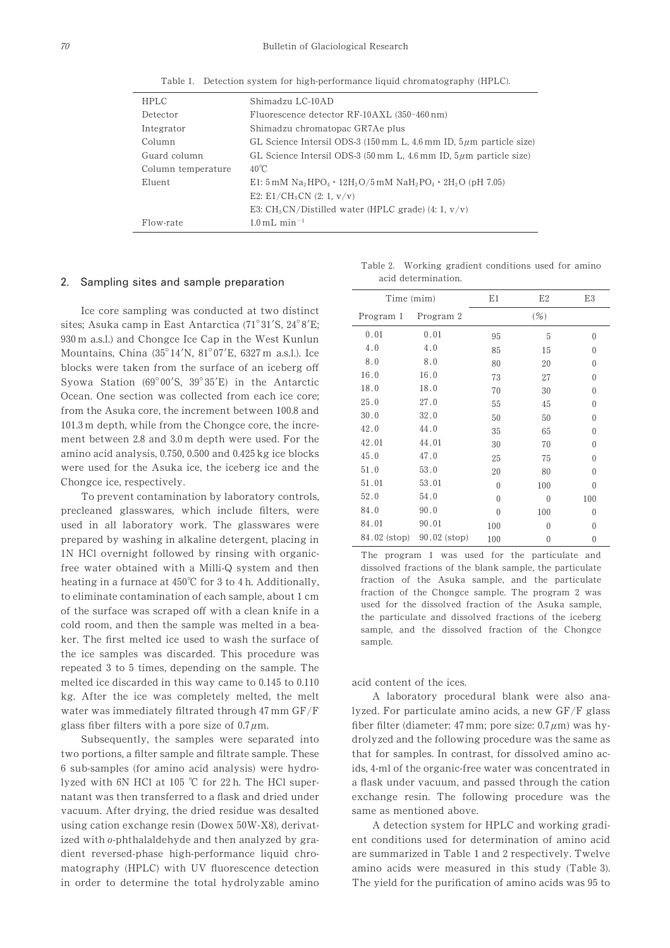Table 1. Detection system for high-performance liquid chromatography (HPLC).

| <b>HPLC</b>        | Shimadzu LC-10AD                                                                               |
|--------------------|------------------------------------------------------------------------------------------------|
| Detector           | Fluorescence detector RF-10AXL (350-460 nm)                                                    |
| Integrator         | Shimadzu chromatopac GR7Ae plus                                                                |
| Column             | GL Science Intersil ODS-3 (150 mm L, 4.6 mm ID, $5\mu$ m particle size)                        |
| Guard column       | GL Science Intersil ODS-3 $(50 \text{ mm L}, 4.6 \text{ mm ID}, 5 \mu \text{m}$ particle size) |
| Column temperature | $40^{\circ}$ C                                                                                 |
| Eluent             | E1: 5 mM $Na_2HPO_4 \cdot 12H_2O/5$ mM $NaH_2PO_4 \cdot 2H_2O$ (pH 7.05)                       |
|                    | E2: E1/CH <sub>3</sub> CN (2: 1, $v/v$ )                                                       |
|                    | E3: $CH_3CN/Distilled water (HPLC grade) (4: 1, v/v)$                                          |
| Flow-rate          | $1.0 \,\mathrm{mL} \,\mathrm{min}^{-1}$                                                        |

#### 2. Sampling sites and sample preparation

Ice core sampling was conducted at two distinct sites; Asuka camp in East Antarctica (71°31′S, 24°8′E; 930 m a.s.l.) and Chongce Ice Cap in the West Kunlun Mountains, China  $(35^{\circ}14'N, 81^{\circ}07'E, 6327m$  a.s.l.). Ice blocks were taken from the surface of an iceberg off Syowa Station ( $69^{\circ}00'S$ ,  $39^{\circ}35'E$ ) in the Antarctic Ocean. One section was collected from each ice core; from the Asuka core, the increment between 100.8 and 101.3 m depth, while from the Chongce core, the increment between 2.8 and 3.0 m depth were used. For the amino acid analysis,  $0.750$ ,  $0.500$  and  $0.425$  kg ice blocks were used for the Asuka ice, the iceberg ice and the Chongce ice, respectively.

To prevent contamination by laboratory controls, precleaned glasswares, which include filters, were used in all laboratory work. The glasswares were prepared by washing in alkaline detergent, placing in 1N HCl overnight followed by rinsing with organicfree water obtained with a Milli-Q system and then heating in a furnace at  $450^{\circ}$ C for 3 to 4 h. Additionally, to eliminate contamination of each sample, about 1 cm of the surface was scraped off with a clean knife in a cold room, and then the sample was melted in a beaker. The first melted ice used to wash the surface of the ice samples was discarded. This procedure was repeated 3 to 5 times, depending on the sample. The melted ice discarded in this way came to  $0.145$  to  $0.110$ kg. After the ice was completely melted, the melt water was immediately filtrated through 47 mm  $GF/F$ glass fiber filters with a pore size of  $0.7 \mu$ m.

Subsequently, the samples were separated into two portions, a filter sample and filtrate sample. These 0 sub-samples (for amino acid analysis) were hydrolyzed with 6N HCl at 105 °C for 22 h. The HCl supernatant was then transferred to a flask and dried under vacuum. After drying, the dried residue was desalted using cation exchange resin (Dowex  $50W-X8$ ), derivatized with o-phthalaldehyde and then analyzed by gradient reversed-phase high-performance liquid chromatography (HPLC) with UV fluorescence detection in order to determine the total hydrolyzable amino

Table 2. Working gradient conditions used for amino acid determination.

| Time (mim)   |                | E1       | E2       | E3       |
|--------------|----------------|----------|----------|----------|
| Program 1    | Program 2      |          |          |          |
| 0.01         | 0.01           | 95       | 5        | $\theta$ |
| 4.0          | 4.0            | 85       | 15       | $\Omega$ |
| 8.0          | 8.0            | 80       | 20       | $\Omega$ |
| 16.0         | 16.0           | 73       | 27       | $\Omega$ |
| 18.0         | 18.0           | 70       | 30       | $\Omega$ |
| 25.0         | 27.0           | 55       | 45       | $\Omega$ |
| 30.0         | 32.0           | 50       | 50       | $\Omega$ |
| 42.0         | 44.0           | 35       | 65       | $\Omega$ |
| 42.01        | 44.01          | 30       | 70       | $\Omega$ |
| 45.0         | 47.0           | 25       | 75       | 0        |
| 51.0         | 53.0           | 20       | 80       | 0        |
| 51.01        | 53.01          | $\Omega$ | 100      | $\Omega$ |
| 52.0         | 54.0           | $\Omega$ | $\Omega$ | 100      |
| 84.0         | 90.0           | $\Omega$ | 100      | 0        |
| 84.01        | 90.01          | 100      | $\Omega$ | 0        |
| 84.02 (stop) | $90.02$ (stop) | 100      | 0        | $\theta$ |

The program 1 was used for the particulate and dissolved fractions of the blank sample, the particulate fraction of the Asuka sample, and the particulate fraction of the Chongce sample. The program  $2$  was used for the dissolved fraction of the Asuka sample, the particulate and dissolved fractions of the iceberg sample, and the dissolved fraction of the Chongce sample.

acid content of the ices.

A laboratory procedural blank were also analyzed. For particulate amino acids, a new GF/F glass fiber filter (diameter: 47 mm; pore size:  $0.7 \mu$ m) was hydrolyzed and the following procedure was the same as that for samples. In contrast, for dissolved amino acids, 4-ml of the organic-free water was concentrated in a flask under vacuum, and passed through the cation exchange resin. The following procedure was the same as mentioned above.

A detection system for HPLC and working gradient conditions used for determination of amino acid are summarized in Table 1 and 2 respectively. Twelve amino acids were measured in this study (Table 3). The yield for the purification of amino acids was 95 to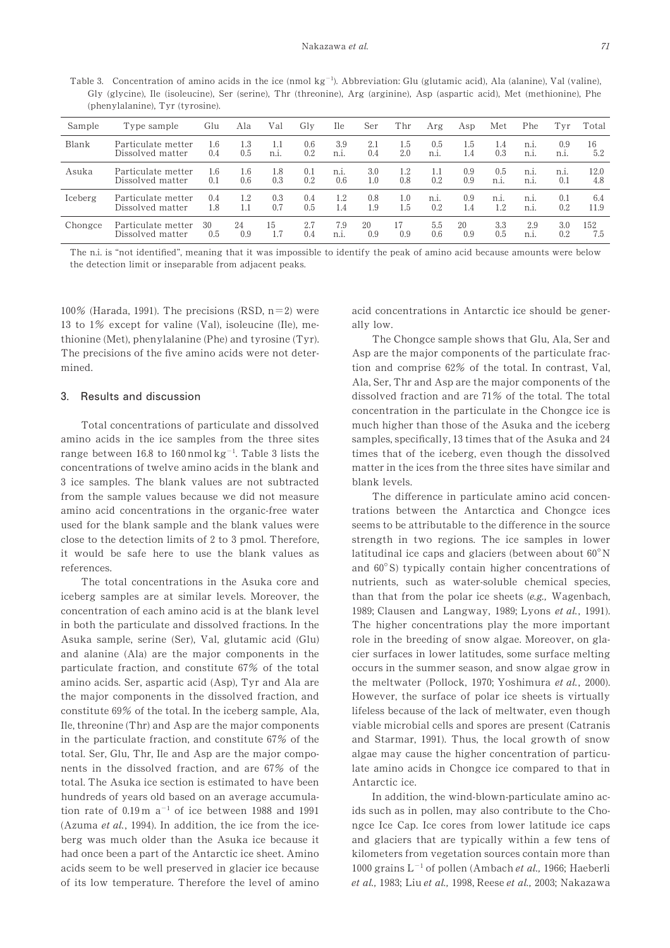Table 3. Concentration of amino acids in the ice (nmol  $kg^{-1}$ ). Abbreviation: Glu (glutamic acid), Ala (alanine), Val (valine), Gly (glycine), Ile (isoleucine), Ser (serine), Thr (threonine), Arg (arginine), Asp (aspartic acid), Met (methionine), Phe (phenylalanine), Tyr (tyrosine).

| Sample  | Type sample        | Glu | Ala | Val            | Glv | <b>Ile</b> | Ser | Thr | Arg            | Asp | Met  | Phe             | Tvr    | Total |
|---------|--------------------|-----|-----|----------------|-----|------------|-----|-----|----------------|-----|------|-----------------|--------|-------|
| Blank   | Particulate metter | 1.6 | 1.3 | 1.1            | 0.6 | 3.9        | 2.1 | 1.5 | 0.5            | 1.5 | 1.4  | n.i.            | 0.9    | 16    |
|         | Dissolved matter   | 0.4 | 0.5 | n <sub>1</sub> | 0.2 | $n_{.1}$   | 0.4 | 2.0 | $n.1$ .        | 1.4 | 0.3  | n <sub>1</sub>  | $n1$ . | 5.2   |
| Asuka   | Particulate metter | 1.6 | 1.6 | 1.8            | 0.1 | n.i.       | 3.0 | 1.2 | 1.1            | 0.9 | 0.5  | n <sub>1</sub>  | $n1$ . | 12.0  |
|         | Dissolved matter   | 0.1 | 0.6 | 0.3            | 0.2 | 0.6        | 1.0 | 0.8 | 0.2            | 0.9 | n.i. | $n_{.1}$        | 0.1    | 4.8   |
| Iceberg | Particulate metter | 0.4 | 1.2 | 0.3            | 0.4 | 1.2        | 0.8 | 1.0 | n <sub>1</sub> | 0.9 | n.i. | n <sub>.1</sub> | 0.1    | 6.4   |
|         | Dissolved matter   | 1.8 | 1.1 | 0.7            | 0.5 | 1.4        | 1.9 | 1.5 | 0.2            | 1.4 | 1.2  | n.i.            | 0.2    | 11.9  |
| Chongce | Particulate metter | 30  | 24  | 15             | 2.7 | 7.9        | 20  | 17  | 5.5            | 20  | 3.3  | 2.9             | 3.0    | 152   |
|         | Dissolved matter   | 0.5 | 0.9 | 1.7            | 0.4 | $n1$ .     | 0.9 | 0.9 | 0.6            | 0.9 | 0.5  | n <sub>.1</sub> | 0.2    | 7.5   |

The n.i. is "not identified", meaning that it was impossible to identify the peak of amino acid because amounts were below the detection limit or inseparable from adjacent peaks.

100% (Harada, 1991). The precisions (RSD,  $n=2$ ) were 13 to  $1\%$  except for valine (Val), isoleucine (Ile), methionine (Met), phenylalanine (Phe) and tyrosine (Tyr). The precisions of the five amino acids were not determined.

# 3 Results and discussion

Total concentrations of particulate and dissolved amino acids in the ice samples from the three sites range between 16.8 to  $160$  nmol  $kg^{-1}$ . Table 3 lists the concentrations of twelve amino acids in the blank and 3 ice samples. The blank values are not subtracted from the sample values because we did not measure amino acid concentrations in the organic-free water used for the blank sample and the blank values were close to the detection limits of 2 to 3 pmol. Therefore, it would be safe here to use the blank values as references.

The total concentrations in the Asuka core and iceberg samples are at similar levels. Moreover, the concentration of each amino acid is at the blank level in both the particulate and dissolved fractions. In the Asuka sample, serine (Ser), Val, glutamic acid (Glu) and alanine (Ala) are the major components in the particulate fraction, and constitute  $67\%$  of the total amino acids. Ser, aspartic acid (Asp), Tyr and Ala are the major components in the dissolved fraction, and constitute 69% of the total. In the iceberg sample, Ala, Ile, threonine (Thr) and Asp are the major components in the particulate fraction, and constitute  $67\%$  of the total. Ser, Glu, Thr, Ile and Asp are the major components in the dissolved fraction, and are 67% of the total. The Asuka ice section is estimated to have been hundreds of years old based on an average accumulation rate of  $0.19 \text{ m a}^{-1}$  of ice between 1988 and 1991 (Azuma et  $al$ , 1994). In addition, the ice from the iceberg was much older than the Asuka ice because it had once been a part of the Antarctic ice sheet. Amino acids seem to be well preserved in glacier ice because of its low temperature. Therefore the level of amino acid concentrations in Antarctic ice should be generally low.

The Chongce sample shows that Glu, Ala, Ser and Asp are the major components of the particulate fraction and comprise 62% of the total. In contrast, Val, Ala, Ser, Thr and Asp are the major components of the dissolved fraction and are 71% of the total. The total concentration in the particulate in the Chongce ice is much higher than those of the Asuka and the iceberg samples, specifically, 13 times that of the Asuka and 24 times that of the iceberg, even though the dissolved matter in the ices from the three sites have similar and blank levels.

The difference in particulate amino acid concentrations between the Antarctica and Chongce ices seems to be attributable to the difference in the source strength in two regions. The ice samples in lower latitudinal ice caps and glaciers (between about  $60^{\circ}$ N and  $60^{\circ}$ S) typically contain higher concentrations of nutrients, such as water-soluble chemical species, than that from the polar ice sheets (e.g., Wagenbach, 1989; Clausen and Langway, 1989; Lyons et al., 1991). The higher concentrations play the more important role in the breeding of snow algae. Moreover, on glacier surfaces in lower latitudes, some surface melting occurs in the summer season, and snow algae grow in the meltwater (Pollock, 1970; Yoshimura et al., 2000). However, the surface of polar ice sheets is virtually lifeless because of the lack of meltwater, even though viable microbial cells and spores are present (Catranis and Starmar, 1991). Thus, the local growth of snow algae may cause the higher concentration of particulate amino acids in Chongce ice compared to that in Antarctic ice.

In addition, the wind-blown-particulate amino acids such as in pollen, may also contribute to the Chongce Ice Cap. Ice cores from lower latitude ice caps and glaciers that are typically within a few tens of kilometers from vegetation sources contain more than 1000 grains  $L^{-1}$  of pollen (Ambach et al., 1966; Haeberli et al., 1983; Liu et al., 1998, Reese et al., 2003; Nakazawa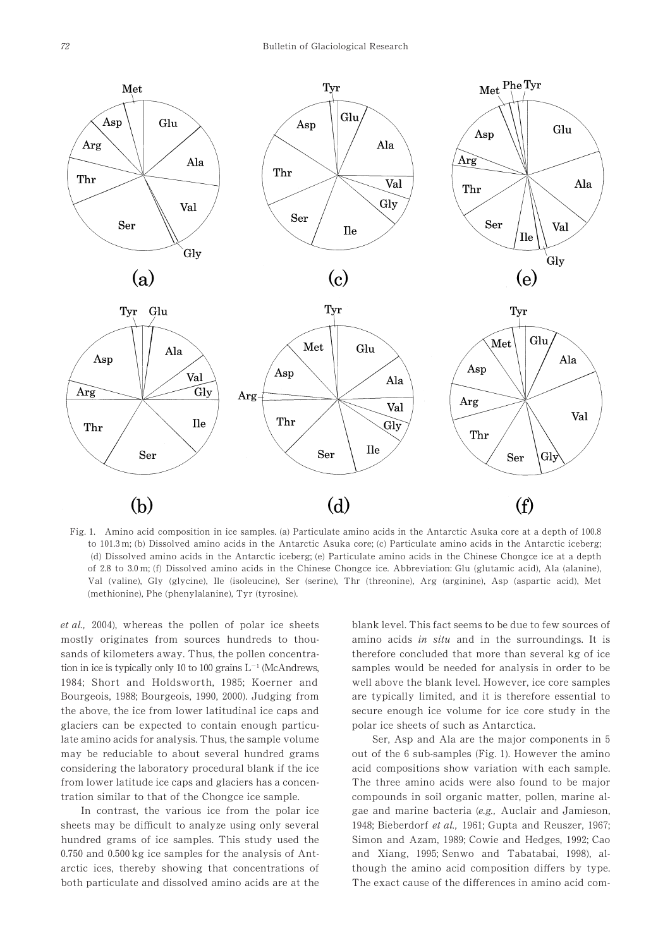

Fig. 1. Amino acid composition in ice samples. (a) Particulate amino acids in the Antarctic Asuka core at a depth of  $100.8$ to  $101.3$  m; (b) Dissolved amino acids in the Antarctic Asuka core; (c) Particulate amino acids in the Antarctic iceberg; (d) Dissolved amino acids in the Antarctic iceberg; (e) Particulate amino acids in the Chinese Chongce ice at a depth of 2.8 to 3.0 m; (f) Dissolved amino acids in the Chinese Chongce ice. Abbreviation: Glu (glutamic acid), Ala (alanine), Val (valine), Gly (glycine), Ile (isoleucine), Ser (serine), Thr (threonine), Arg (arginine), Asp (aspartic acid), Met (methionine), Phe (phenylalanine), Tyr (tyrosine).

*et al.*, 2004), whereas the pollen of polar ice sheets mostly originates from sources hundreds to thousands of kilometers away. Thus, the pollen concentration in ice is typically only 10 to 100 grains  $L^{-1}$  (McAndrews, 1984; Short and Holdsworth, 1985; Koerner and Bourgeois, 1988; Bourgeois, 1990, 2000). Judging from the above, the ice from lower latitudinal ice caps and glaciers can be expected to contain enough particulate amino acids for analysis. Thus, the sample volume may be reduciable to about several hundred grams considering the laboratory procedural blank if the ice from lower latitude ice caps and glaciers has a concentration similar to that of the Chongce ice sample.

In contrast, the various ice from the polar ice sheets may be difficult to analyze using only several hundred grams of ice samples. This study used the  $0.750$  and  $0.500$  kg ice samples for the analysis of Antarctic ices, thereby showing that concentrations of both particulate and dissolved amino acids are at the blank level. This fact seems to be due to few sources of amino acids in situ and in the surroundings. It is therefore concluded that more than several kg of ice samples would be needed for analysis in order to be well above the blank level. However, ice core samples are typically limited, and it is therefore essential to secure enough ice volume for ice core study in the polar ice sheets of such as Antarctica.

Ser, Asp and Ala are the major components in 5 out of the 6 sub-samples (Fig. 1). However the amino acid compositions show variation with each sample. The three amino acids were also found to be major compounds in soil organic matter, pollen, marine algae and marine bacteria (e.g., Auclair and Jamieson, 1948; Bieberdorf et al., 1961; Gupta and Reuszer, 1967; Simon and Azam, 1989; Cowie and Hedges, 1992; Cao and Xiang, 1995; Senwo and Tabatabai, 1998), although the amino acid composition differs by type. The exact cause of the differences in amino acid com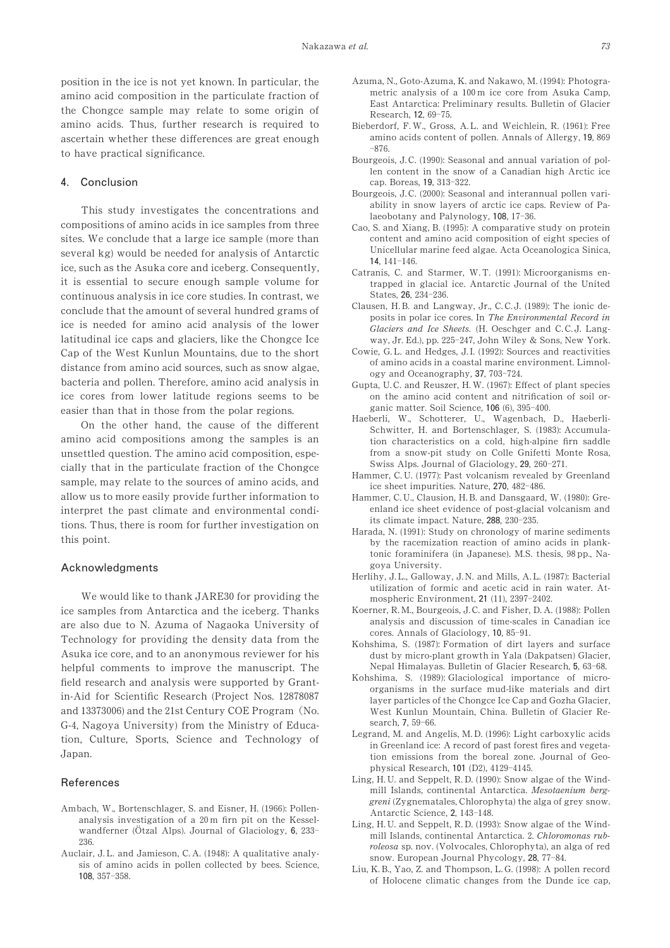position in the ice is not yet known. In particular, the amino acid composition in the particulate fraction of the Chongce sample may relate to some origin of amino acids. Thus, further research is required to ascertain whether these differences are great enough to have practical significance.

### 4 Conclusion

This study investigates the concentrations and compositions of amino acids in ice samples from three sites. We conclude that a large ice sample (more than several kg) would be needed for analysis of Antarctic ice, such as the Asuka core and iceberg. Consequently, it is essential to secure enough sample volume for continuous analysis in ice core studies. In contrast, we conclude that the amount of several hundred grams of ice is needed for amino acid analysis of the lower latitudinal ice caps and glaciers, like the Chongce Ice Cap of the West Kunlun Mountains, due to the short distance from amino acid sources, such as snow algae, bacteria and pollen. Therefore, amino acid analysis in ice cores from lower latitude regions seems to be easier than that in those from the polar regions.

On the other hand, the cause of the different amino acid compositions among the samples is an unsettled question. The amino acid composition, especially that in the particulate fraction of the Chongce sample, may relate to the sources of amino acids, and allow us to more easily provide further information to interpret the past climate and environmental conditions. Thus, there is room for further investigation on this point.

#### Acknowledgments

We would like to thank JARE30 for providing the ice samples from Antarctica and the iceberg. Thanks are also due to N. Azuma of Nagaoka University of Technology for providing the density data from the Asuka ice core, and to an anonymous reviewer for his helpful comments to improve the manuscript. The field research and analysis were supported by Grantin-Aid for Scientific Research (Project Nos. 12878087 and 13373006) and the 21st Century COE Program (No. G-4, Nagoya University) from the Ministry of Education, Culture, Sports, Science and Technology of Japan.

# References

- Ambach, W., Bortenschlager, S. and Eisner, H. (1966): Pollenanalysis investigation of a  $20 \text{ m}$  firn pit on the Kesselwandferner (Ötzal Alps). Journal of Glaciology, 6, 233-236.
- Auclair, J.L. and Jamieson, C.A. (1948): A qualitative analysis of amino acids in pollen collected by bees. Science, 108, 357-358.
- Azuma, N., Goto-Azuma, K. and Nakawo, M. (1994): Photogrametric analysis of a  $100 \text{ m}$  ice core from Asuka Camp. East Antarctica: Preliminary results. Bulletin of Glacier Research, 12, 69-75.
- Bieberdorf, F.W., Gross, A.L. and Weichlein, R. (1961): Free amino acids content of pollen. Annals of Allergy, 19, 869  $-876.$
- Bourgeois, J.C. (1990): Seasonal and annual variation of pollen content in the snow of a Canadian high Arctic ice cap. Boreas, 19, 313-322.
- Bourgeois, J.C. (2000): Seasonal and interannual pollen variability in snow layers of arctic ice caps. Review of Palaeobotany and Palynology, 108, 17-36.
- Cao, S. and Xiang, B. (1995): A comparative study on protein content and amino acid composition of eight species of Unicellular marine feed algae. Acta Oceanologica Sinica,  $14.141-146.$
- Catranis, C. and Starmer, W.T. (1991): Microorganisms entrapped in glacial ice. Antarctic Journal of the United  $States$ ,  $26$ ,  $234-236$
- Clausen, H. B. and Langway, Jr., C. C. J. (1989): The ionic deposits in polar ice cores. In The Environmental Record in Glaciers and Ice Sheets. (H. Oeschger and C.C.J. Langway, Jr. Ed.), pp. 225-247, John Wiley & Sons, New York.
- Cowie, G.L. and Hedges, J.I. (1992): Sources and reactivities of amino acids in a coastal marine environment. Limnology and Oceanography, 37, 703-724.
- Gupta, U.C. and Reuszer, H.W. (1967): Effect of plant species on the amino acid content and nitrification of soil organic matter. Soil Science, 106 (6), 395-400.
- Haeberli, W., Schotterer, U., Wagenbach, D., Haeberli-Schwitter, H. and Bortenschlager, S. (1983): Accumulation characteristics on a cold, high-alpine firn saddle from a snow-pit study on Colle Gnifetti Monte Rosa, Swiss Alps. Journal of Glaciology, 29, 260-271.
- Hammer, C.U. (1977): Past volcanism revealed by Greenland ice sheet impurities. Nature, 270, 482-486.
- Hammer, C. U., Clausion, H. B. and Dansgaard, W. (1980): Greenland ice sheet evidence of post-glacial volcanism and its climate impact. Nature, 288, 230-235.
- Harada, N. (1991): Study on chronology of marine sediments by the racemization reaction of amino acids in planktonic foraminifera (in Japanese). M.S. thesis, 32 pp., Nagoya University.
- Herlihy, J.L., Galloway, J.N. and Mills, A.L. (1987): Bacterial utilization of formic and acetic acid in rain water. Atmospheric Environment, 21 (11), 2397-2402.
- Koerner, R. M., Bourgeois, J. C. and Fisher, D. A. (1988): Pollen analysis and discussion of time-scales in Canadian ice cores. Annals of Glaciology, 10, 85-91.
- Kohshima, S. (1987): Formation of dirt layers and surface dust by micro-plant growth in Yala (Dakpatsen) Glacier, Nepal Himalayas. Bulletin of Glacier Research, 5, 63-68.
- Kohshima, S. (1989): Glaciological importance of microorganisms in the surface mud-like materials and dirt layer particles of the Chongce Ice Cap and Gozha Glacier, West Kunlun Mountain, China. Bulletin of Glacier Research, 7, 59-66.
- Legrand, M. and Angelis, M.D. (1996): Light carboxylic acids in Greenland ice: A record of past forest fires and vegetation emissions from the boreal zone. Journal of Geophysical Research, 101 (D2), 4129-4145.
- Ling, H.U. and Seppelt, R.D. (1990): Snow algae of the Windmill Islands, continental Antarctica. Mesotaenium berggreni (Zygnematales, Chlorophyta) the alga of grey snow. Antarctic Science, 2, 143-148.
- Ling, H.U. and Seppelt, R.D. (1993): Snow algae of the Windmill Islands, continental Antarctica. 2. Chloromonas rubroleosa sp. nov. (Volvocales, Chlorophyta), an alga of red snow. European Journal Phycology, 28, 77-84.
- Liu, K. B., Yao, Z. and Thompson, L. G. (1998): A pollen record of Holocene climatic changes from the Dunde ice cap,